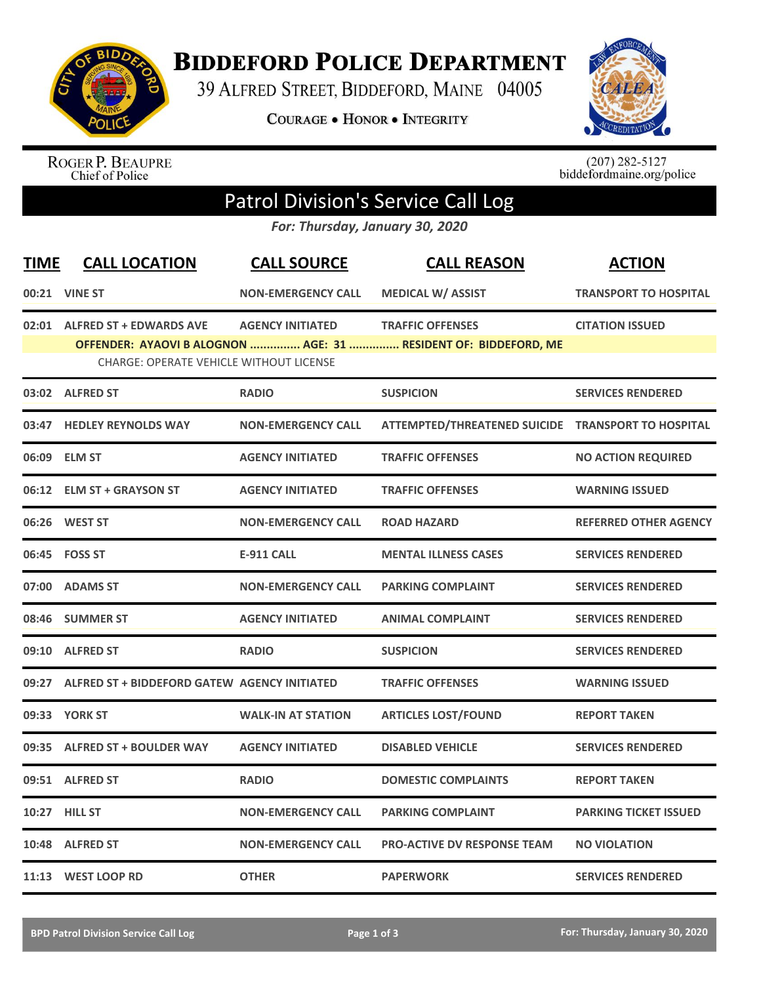

**BIDDEFORD POLICE DEPARTMENT** 

39 ALFRED STREET, BIDDEFORD, MAINE 04005

**COURAGE . HONOR . INTEGRITY** 



ROGER P. BEAUPRE<br>Chief of Police

 $(207)$  282-5127<br>biddefordmaine.org/police

## Patrol Division's Service Call Log

*For: Thursday, January 30, 2020*

| <b>TIME</b>                                                                                                       | <b>CALL LOCATION</b>                               | <b>CALL SOURCE</b>        | <b>CALL REASON</b>                                 | <b>ACTION</b>                |  |  |  |
|-------------------------------------------------------------------------------------------------------------------|----------------------------------------------------|---------------------------|----------------------------------------------------|------------------------------|--|--|--|
|                                                                                                                   | 00:21 VINE ST                                      | <b>NON-EMERGENCY CALL</b> | <b>MEDICAL W/ ASSIST</b>                           | <b>TRANSPORT TO HOSPITAL</b> |  |  |  |
|                                                                                                                   | 02:01 ALFRED ST + EDWARDS AVE                      | <b>AGENCY INITIATED</b>   | <b>TRAFFIC OFFENSES</b>                            | <b>CITATION ISSUED</b>       |  |  |  |
| OFFENDER: AYAOVI B ALOGNON  AGE: 31  RESIDENT OF: BIDDEFORD, ME<br><b>CHARGE: OPERATE VEHICLE WITHOUT LICENSE</b> |                                                    |                           |                                                    |                              |  |  |  |
|                                                                                                                   | 03:02 ALFRED ST                                    | <b>RADIO</b>              | <b>SUSPICION</b>                                   | <b>SERVICES RENDERED</b>     |  |  |  |
|                                                                                                                   | 03:47 HEDLEY REYNOLDS WAY                          | <b>NON-EMERGENCY CALL</b> | ATTEMPTED/THREATENED SUICIDE TRANSPORT TO HOSPITAL |                              |  |  |  |
|                                                                                                                   | 06:09 ELM ST                                       | <b>AGENCY INITIATED</b>   | <b>TRAFFIC OFFENSES</b>                            | <b>NO ACTION REQUIRED</b>    |  |  |  |
| 06:12                                                                                                             | <b>ELM ST + GRAYSON ST</b>                         | <b>AGENCY INITIATED</b>   | <b>TRAFFIC OFFENSES</b>                            | <b>WARNING ISSUED</b>        |  |  |  |
| 06:26                                                                                                             | <b>WEST ST</b>                                     | <b>NON-EMERGENCY CALL</b> | <b>ROAD HAZARD</b>                                 | <b>REFERRED OTHER AGENCY</b> |  |  |  |
|                                                                                                                   | 06:45    FOSS ST                                   | <b>E-911 CALL</b>         | <b>MENTAL ILLNESS CASES</b>                        | <b>SERVICES RENDERED</b>     |  |  |  |
| 07:00                                                                                                             | <b>ADAMS ST</b>                                    | <b>NON-EMERGENCY CALL</b> | <b>PARKING COMPLAINT</b>                           | <b>SERVICES RENDERED</b>     |  |  |  |
| 08:46                                                                                                             | <b>SUMMER ST</b>                                   | <b>AGENCY INITIATED</b>   | <b>ANIMAL COMPLAINT</b>                            | <b>SERVICES RENDERED</b>     |  |  |  |
| 09:10                                                                                                             | <b>ALFRED ST</b>                                   | <b>RADIO</b>              | <b>SUSPICION</b>                                   | <b>SERVICES RENDERED</b>     |  |  |  |
|                                                                                                                   | 09:27 ALFRED ST + BIDDEFORD GATEW AGENCY INITIATED |                           | <b>TRAFFIC OFFENSES</b>                            | <b>WARNING ISSUED</b>        |  |  |  |
|                                                                                                                   | 09:33 YORK ST                                      | <b>WALK-IN AT STATION</b> | <b>ARTICLES LOST/FOUND</b>                         | <b>REPORT TAKEN</b>          |  |  |  |
| 09:35                                                                                                             | <b>ALFRED ST + BOULDER WAY</b>                     | <b>AGENCY INITIATED</b>   | <b>DISABLED VEHICLE</b>                            | <b>SERVICES RENDERED</b>     |  |  |  |
| 09:51                                                                                                             | <b>ALFRED ST</b>                                   | <b>RADIO</b>              | <b>DOMESTIC COMPLAINTS</b>                         | <b>REPORT TAKEN</b>          |  |  |  |
|                                                                                                                   | 10:27 HILL ST                                      | <b>NON-EMERGENCY CALL</b> | <b>PARKING COMPLAINT</b>                           | <b>PARKING TICKET ISSUED</b> |  |  |  |
|                                                                                                                   | 10:48 ALFRED ST                                    | <b>NON-EMERGENCY CALL</b> | <b>PRO-ACTIVE DV RESPONSE TEAM</b>                 | <b>NO VIOLATION</b>          |  |  |  |
|                                                                                                                   | 11:13 WEST LOOP RD                                 | <b>OTHER</b>              | <b>PAPERWORK</b>                                   | <b>SERVICES RENDERED</b>     |  |  |  |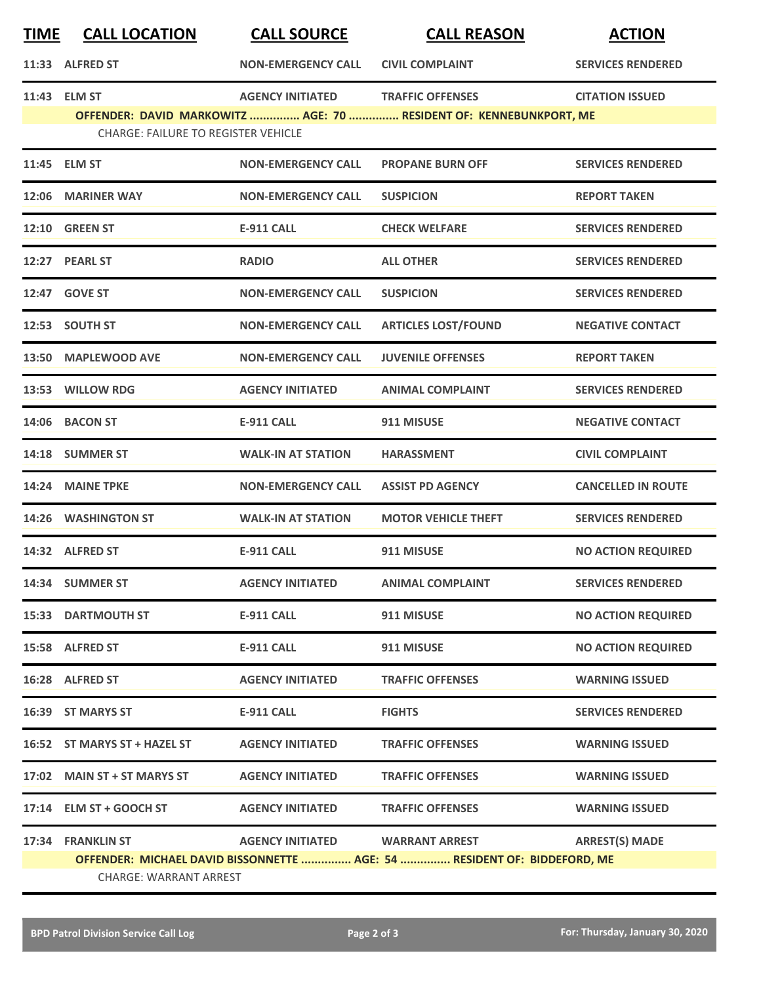| <b>TIME</b> | <b>CALL LOCATION</b>                       | <b>CALL SOURCE</b>              | <b>CALL REASON</b>                                                       | <b>ACTION</b>             |
|-------------|--------------------------------------------|---------------------------------|--------------------------------------------------------------------------|---------------------------|
|             | 11:33 ALFRED ST                            | <b>NON-EMERGENCY CALL</b>       | <b>CIVIL COMPLAINT</b>                                                   | <b>SERVICES RENDERED</b>  |
|             | 11:43 ELM ST                               | <b>AGENCY INITIATED</b>         | <b>TRAFFIC OFFENSES</b>                                                  | <b>CITATION ISSUED</b>    |
|             | <b>CHARGE: FAILURE TO REGISTER VEHICLE</b> |                                 | OFFENDER: DAVID MARKOWITZ  AGE: 70  RESIDENT OF: KENNEBUNKPORT, ME       |                           |
|             | 11:45 ELM ST                               | <b>NON-EMERGENCY CALL</b>       | <b>PROPANE BURN OFF</b>                                                  | <b>SERVICES RENDERED</b>  |
|             | 12:06 MARINER WAY                          | <b>NON-EMERGENCY CALL</b>       | <b>SUSPICION</b>                                                         | <b>REPORT TAKEN</b>       |
|             | <b>12:10 GREEN ST</b>                      | <b>E-911 CALL</b>               | <b>CHECK WELFARE</b>                                                     | <b>SERVICES RENDERED</b>  |
|             | 12:27 PEARL ST                             | <b>RADIO</b>                    | <b>ALL OTHER</b>                                                         | <b>SERVICES RENDERED</b>  |
|             | 12:47 GOVE ST                              | <b>NON-EMERGENCY CALL</b>       | <b>SUSPICION</b>                                                         | <b>SERVICES RENDERED</b>  |
|             | 12:53 SOUTH ST                             | <b>NON-EMERGENCY CALL</b>       | <b>ARTICLES LOST/FOUND</b>                                               | <b>NEGATIVE CONTACT</b>   |
|             | 13:50 MAPLEWOOD AVE                        | <b>NON-EMERGENCY CALL</b>       | <b>JUVENILE OFFENSES</b>                                                 | <b>REPORT TAKEN</b>       |
|             | 13:53 WILLOW RDG                           | <b>AGENCY INITIATED</b>         | <b>ANIMAL COMPLAINT</b>                                                  | <b>SERVICES RENDERED</b>  |
|             | 14:06 BACON ST                             | <b>E-911 CALL</b>               | 911 MISUSE                                                               | <b>NEGATIVE CONTACT</b>   |
|             | 14:18 SUMMER ST                            | <b>WALK-IN AT STATION</b>       | <b>HARASSMENT</b>                                                        | <b>CIVIL COMPLAINT</b>    |
| 14:24       | <b>MAINE TPKE</b>                          | <b>NON-EMERGENCY CALL</b>       | <b>ASSIST PD AGENCY</b>                                                  | <b>CANCELLED IN ROUTE</b> |
|             | 14:26 WASHINGTON ST                        | <b>WALK-IN AT STATION</b>       | <b>MOTOR VEHICLE THEFT</b>                                               | <b>SERVICES RENDERED</b>  |
|             | 14:32 ALFRED ST                            | <b>E-911 CALL</b>               | 911 MISUSE                                                               | <b>NO ACTION REQUIRED</b> |
|             | 14:34 SUMMER ST                            | <b>AGENCY INITIATED</b>         | <b>ANIMAL COMPLAINT</b>                                                  | <b>SERVICES RENDERED</b>  |
|             | <b>15:33 DARTMOUTH ST</b>                  | <b>E-911 CALL</b>               | 911 MISUSE                                                               | <b>NO ACTION REQUIRED</b> |
|             | 15:58 ALFRED ST                            | <b>E-911 CALL</b>               | 911 MISUSE                                                               | <b>NO ACTION REQUIRED</b> |
|             | 16:28 ALFRED ST                            | <b>AGENCY INITIATED</b>         | <b>TRAFFIC OFFENSES</b>                                                  | <b>WARNING ISSUED</b>     |
|             | 16:39 ST MARYS ST                          | <b>E-911 CALL</b>               | <b>FIGHTS</b>                                                            | <b>SERVICES RENDERED</b>  |
|             | 16:52 ST MARYS ST + HAZEL ST               | <b>AGENCY INITIATED</b>         | <b>TRAFFIC OFFENSES</b>                                                  | <b>WARNING ISSUED</b>     |
|             | 17:02 MAIN ST + ST MARYS ST                | <b>AGENCY INITIATED</b>         | <b>TRAFFIC OFFENSES</b>                                                  | <b>WARNING ISSUED</b>     |
|             | 17:14 ELM ST + GOOCH ST                    | <b>AGENCY INITIATED</b>         | <b>TRAFFIC OFFENSES</b>                                                  | <b>WARNING ISSUED</b>     |
|             | 17:34 FRANKLIN ST                          | AGENCY INITIATED WARRANT ARREST |                                                                          | <b>ARREST(S) MADE</b>     |
|             | <b>CHARGE: WARRANT ARREST</b>              |                                 | OFFENDER: MICHAEL DAVID BISSONNETTE  AGE: 54  RESIDENT OF: BIDDEFORD, ME |                           |
|             |                                            |                                 |                                                                          |                           |